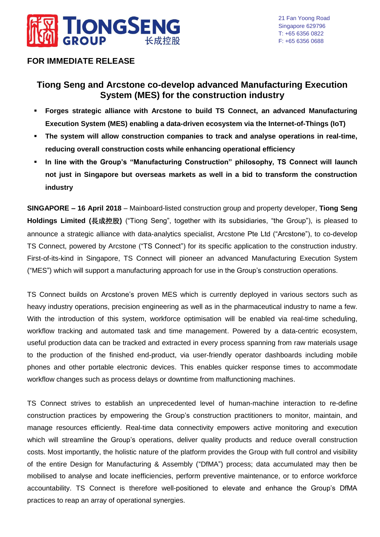

## **FOR IMMEDIATE RELEASE**

# **Tiong Seng and Arcstone co-develop advanced Manufacturing Execution System (MES) for the construction industry**

- **Forges strategic alliance with Arcstone to build TS Connect, an advanced Manufacturing Execution System (MES) enabling a data-driven ecosystem via the Internet-of-Things (IoT)**
- **The system will allow construction companies to track and analyse operations in real-time, reducing overall construction costs while enhancing operational efficiency**
- **In line with the Group's "Manufacturing Construction" philosophy, TS Connect will launch not just in Singapore but overseas markets as well in a bid to transform the construction industry**

**SINGAPORE – 16 April 2018** – Mainboard-listed construction group and property developer, **Tiong Seng Holdings Limited (**長成控股**)** ("Tiong Seng", together with its subsidiaries, "the Group"), is pleased to announce a strategic alliance with data-analytics specialist, Arcstone Pte Ltd ("Arcstone"), to co-develop TS Connect, powered by Arcstone ("TS Connect") for its specific application to the construction industry. First-of-its-kind in Singapore, TS Connect will pioneer an advanced Manufacturing Execution System ("MES") which will support a manufacturing approach for use in the Group's construction operations.

TS Connect builds on Arcstone's proven MES which is currently deployed in various sectors such as heavy industry operations, precision engineering as well as in the pharmaceutical industry to name a few. With the introduction of this system, workforce optimisation will be enabled via real-time scheduling, workflow tracking and automated task and time management. Powered by a data-centric ecosystem, useful production data can be tracked and extracted in every process spanning from raw materials usage to the production of the finished end-product, via user-friendly operator dashboards including mobile phones and other portable electronic devices. This enables quicker response times to accommodate workflow changes such as process delays or downtime from malfunctioning machines.

TS Connect strives to establish an unprecedented level of human-machine interaction to re-define construction practices by empowering the Group's construction practitioners to monitor, maintain, and manage resources efficiently. Real-time data connectivity empowers active monitoring and execution which will streamline the Group's operations, deliver quality products and reduce overall construction costs. Most importantly, the holistic nature of the platform provides the Group with full control and visibility of the entire Design for Manufacturing & Assembly ("DfMA") process; data accumulated may then be mobilised to analyse and locate inefficiencies, perform preventive maintenance, or to enforce workforce accountability. TS Connect is therefore well-positioned to elevate and enhance the Group's DfMA practices to reap an array of operational synergies.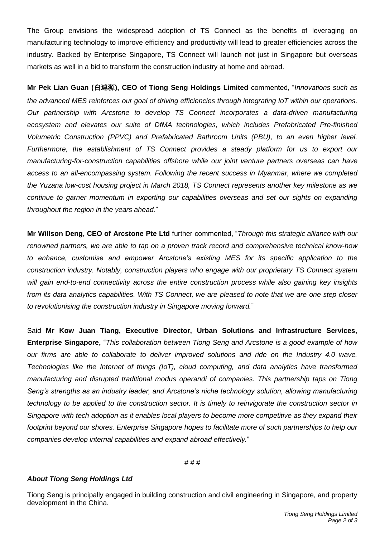The Group envisions the widespread adoption of TS Connect as the benefits of leveraging on manufacturing technology to improve efficiency and productivity will lead to greater efficiencies across the industry. Backed by Enterprise Singapore, TS Connect will launch not just in Singapore but overseas markets as well in a bid to transform the construction industry at home and abroad.

**Mr Pek Lian Guan (**白連源**), CEO of Tiong Seng Holdings Limited** commented, "*Innovations such as the advanced MES reinforces our goal of driving efficiencies through integrating IoT within our operations. Our partnership with Arcstone to develop TS Connect incorporates a data-driven manufacturing ecosystem and elevates our suite of DfMA technologies, which includes Prefabricated Pre-finished Volumetric Construction (PPVC) and Prefabricated Bathroom Units (PBU), to an even higher level. Furthermore, the establishment of TS Connect provides a steady platform for us to export our manufacturing-for-construction capabilities offshore while our joint venture partners overseas can have access to an all-encompassing system. Following the recent success in Myanmar, where we completed the Yuzana low-cost housing project in March 2018, TS Connect represents another key milestone as we continue to garner momentum in exporting our capabilities overseas and set our sights on expanding throughout the region in the years ahead.*"

**Mr Willson Deng, CEO of Arcstone Pte Ltd** further commented, "*Through this strategic alliance with our renowned partners, we are able to tap on a proven track record and comprehensive technical know-how to enhance, customise and empower Arcstone's existing MES for its specific application to the construction industry. Notably, construction players who engage with our proprietary TS Connect system will gain end-to-end connectivity across the entire construction process while also gaining key insights from its data analytics capabilities. With TS Connect, we are pleased to note that we are one step closer to revolutionising the construction industry in Singapore moving forward.*"

Said **Mr Kow Juan Tiang, Executive Director, Urban Solutions and Infrastructure Services, Enterprise Singapore,** "*This collaboration between Tiong Seng and Arcstone is a good example of how our firms are able to collaborate to deliver improved solutions and ride on the Industry 4.0 wave. Technologies like the Internet of things (IoT), cloud computing, and data analytics have transformed manufacturing and disrupted traditional modus operandi of companies. This partnership taps on Tiong Seng's strengths as an industry leader, and Arcstone's niche technology solution, allowing manufacturing technology to be applied to the construction sector. It is timely to reinvigorate the construction sector in Singapore with tech adoption as it enables local players to become more competitive as they expand their footprint beyond our shores. Enterprise Singapore hopes to facilitate more of such partnerships to help our companies develop internal capabilities and expand abroad effectively.*"

# # #

#### *About Tiong Seng Holdings Ltd*

Tiong Seng is principally engaged in building construction and civil engineering in Singapore, and property development in the China.